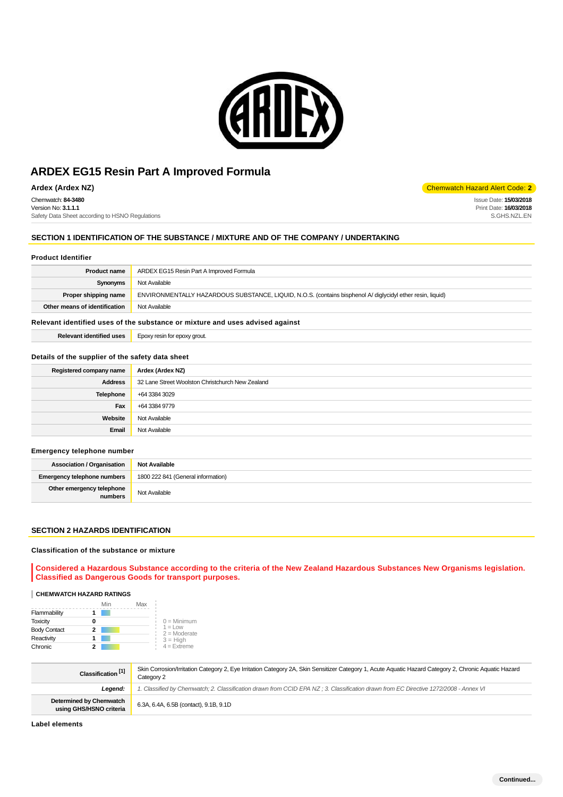

**Ardex (Ardex NZ)** Chemwatch Hazard Alert Code: **2** 

Chemwatch: **84-3480** Version No: **3.1.1.1** Safety Data Sheet according to HSNO Regulations

## **SECTION 1 IDENTIFICATION OF THE SUBSTANCE / MIXTURE AND OF THE COMPANY / UNDERTAKING**

#### **Product Identifier**

| <b>Product name</b>           | ARDEX EG15 Resin Part A Improved Formula                                                                   |  |
|-------------------------------|------------------------------------------------------------------------------------------------------------|--|
| Synonyms                      | Not Available                                                                                              |  |
| Proper shipping name          | ENVIRONMENTALLY HAZARDOUS SUBSTANCE, LIQUID, N.O.S. (contains bisphenol A/ diglycidyl ether resin, liquid) |  |
| Other means of identification | Not Available                                                                                              |  |
|                               |                                                                                                            |  |

#### **Relevant identified uses of the substance or mixture and uses advised against**

| $\mathbf{a}$ | EDOXV<br>arou<br>resi<br>,,, |
|--------------|------------------------------|
|              |                              |

### **Details of the supplier of the safety data sheet**

| Registered company name | Ardex (Ardex NZ)                                 |  |
|-------------------------|--------------------------------------------------|--|
| Address                 | 32 Lane Street Woolston Christchurch New Zealand |  |
| Telephone               | +64 3384 3029                                    |  |
| Fax                     | +64 3384 9779                                    |  |
| Website                 | Not Available                                    |  |
| Email                   | Not Available                                    |  |

#### **Emergency telephone number**

| <b>Association / Organisation</b>    | Not Available                      |  |
|--------------------------------------|------------------------------------|--|
| <b>Emergency telephone numbers</b>   | 1800 222 841 (General information) |  |
| Other emergency telephone<br>numbers | Not Available                      |  |

#### **SECTION 2 HAZARDS IDENTIFICATION**

#### **Classification of the substance or mixture**

**Considered a Hazardous Substance according to the criteria of the New Zealand Hazardous Substances New Organisms legislation. Classified as Dangerous Goods for transport purposes.**

#### **CHEMWATCH HAZARD RATINGS**

|                     | Min | Max |                             |
|---------------------|-----|-----|-----------------------------|
| Flammability        |     |     |                             |
| <b>Toxicity</b>     |     |     | $0 =$ Minimum               |
| <b>Body Contact</b> | 2   |     | $1 = Low$<br>$2 =$ Moderate |
| Reactivity          |     |     | $3 = High$                  |
| Chronic             |     |     | $4$ = Extreme               |

| Classification <sup>[1]</sup>                      | Skin Corrosion/Irritation Category 2, Eye Irritation Category 2A, Skin Sensitizer Category 1, Acute Aquatic Hazard Category 2, Chronic Aquatic Hazard<br>Category 2 |  |
|----------------------------------------------------|---------------------------------------------------------------------------------------------------------------------------------------------------------------------|--|
| Leaend:                                            | 1. Classified by Chemwatch; 2. Classification drawn from CCID EPA NZ; 3. Classification drawn from EC Directive 1272/2008 - Annex VI                                |  |
| Determined by Chemwatch<br>using GHS/HSNO criteria | 6.3A, 6.4A, 6.5B (contact), 9.1B, 9.1D                                                                                                                              |  |

**Label elements**

Issue Date: **15/03/2018** Print Date: **16/03/2018** S.GHS.NZL.EN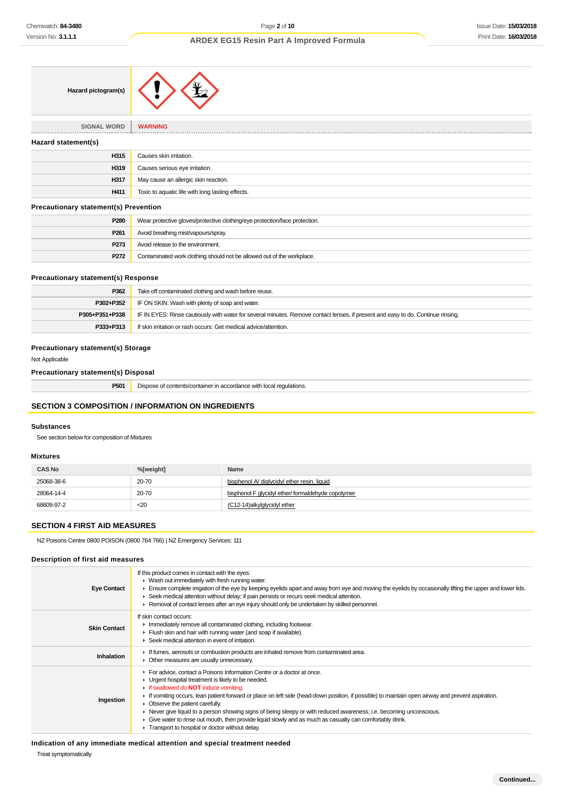| Hazard pictogram(s) |  |
|---------------------|--|
|---------------------|--|

| <b>SIGNAL WORD</b>                           | <b>WARNING</b>                                   |  |  |
|----------------------------------------------|--------------------------------------------------|--|--|
| Hazard statement(s)                          |                                                  |  |  |
| H315                                         | Causes skin irritation.                          |  |  |
| H319                                         | Causes serious eye irritation.                   |  |  |
| H317                                         | May cause an allergic skin reaction.             |  |  |
| H411                                         | Toxic to aquatic life with long lasting effects. |  |  |
| <b>Precautionary statement(s) Prevention</b> |                                                  |  |  |

#### ry statement(s)

| P <sub>280</sub> | Wear protective gloves/protective clothing/eye protection/face protection. |  |
|------------------|----------------------------------------------------------------------------|--|
| P <sub>261</sub> | Avoid breathing mist/vapours/spray.                                        |  |
| P273             | Avoid release to the environment.                                          |  |
| P272             | Contaminated work clothing should not be allowed out of the workplace.     |  |

### **Precautionary statement(s) Response**

| P362           | Take off contaminated clothing and wash before reuse.                                                                            |  |
|----------------|----------------------------------------------------------------------------------------------------------------------------------|--|
| P302+P352      | IF ON SKIN: Wash with plenty of soap and water.                                                                                  |  |
| P305+P351+P338 | IF IN EYES: Rinse cautiously with water for several minutes. Remove contact lenses, if present and easy to do. Continue rinsing. |  |
| P333+P313      | If skin irritation or rash occurs: Get medical advice/attention.                                                                 |  |

#### **Precautionary statement(s) Storage**

Not Applicable

### **Precautionary statement(s) Disposal**

| P50 |  |  |
|-----|--|--|
|     |  |  |
|     |  |  |

**P1** Dispose of contents/container in accordance with local regulations.

#### **SECTION 3 COMPOSITION / INFORMATION ON INGREDIENTS**

#### **Substances**

See section below for composition of Mixtures

#### **Mixtures**

| <b>CAS No</b> | %[weight] | Name                                               |
|---------------|-----------|----------------------------------------------------|
| 25068-38-6    | 20-70     | bisphenol A/ diglycidyl ether resin, liquid        |
| 28064-14-4    | 20-70     | bisphenol F glycidyl ether/ formaldehyde copolymer |
| 68609-97-2    | $20$      | (C12-14)alkylglycidyl ether                        |

## **SECTION 4 FIRST AID MEASURES**

NZ Poisons Centre 0800 POISON (0800 764 766) | NZ Emergency Services: 111

#### **Description of first aid measures**

| <b>Eye Contact</b>  | If this product comes in contact with the eyes:<br>• Wash out immediately with fresh running water.<br>Ensure complete irrigation of the eye by keeping eyelids apart and away from eye and moving the eyelids by occasionally lifting the upper and lower lids.<br>► Seek medical attention without delay; if pain persists or recurs seek medical attention.<br>► Removal of contact lenses after an eye injury should only be undertaken by skilled personnel.                                                                                                                                                                                          |
|---------------------|------------------------------------------------------------------------------------------------------------------------------------------------------------------------------------------------------------------------------------------------------------------------------------------------------------------------------------------------------------------------------------------------------------------------------------------------------------------------------------------------------------------------------------------------------------------------------------------------------------------------------------------------------------|
| <b>Skin Contact</b> | If skin contact occurs:<br>Inmediately remove all contaminated clothing, including footwear.<br>Flush skin and hair with running water (and soap if available).<br>▶ Seek medical attention in event of irritation.                                                                                                                                                                                                                                                                                                                                                                                                                                        |
| <b>Inhalation</b>   | If fumes, aerosols or combustion products are inhaled remove from contaminated area.<br>• Other measures are usually unnecessary.                                                                                                                                                                                                                                                                                                                                                                                                                                                                                                                          |
| Ingestion           | For advice, contact a Poisons Information Centre or a doctor at once.<br>• Urgent hospital treatment is likely to be needed.<br><b>If swallowed do NOT induce vomiting.</b><br>If vomiting occurs, lean patient forward or place on left side (head-down position, if possible) to maintain open airway and prevent aspiration.<br>• Observe the patient carefully.<br>► Never give liquid to a person showing signs of being sleepy or with reduced awareness; i.e. becoming unconscious.<br>• Give water to rinse out mouth, then provide liquid slowly and as much as casualty can comfortably drink.<br>Transport to hospital or doctor without delay. |

**Indication of any immediate medical attention and special treatment needed**

Treat symptomatically.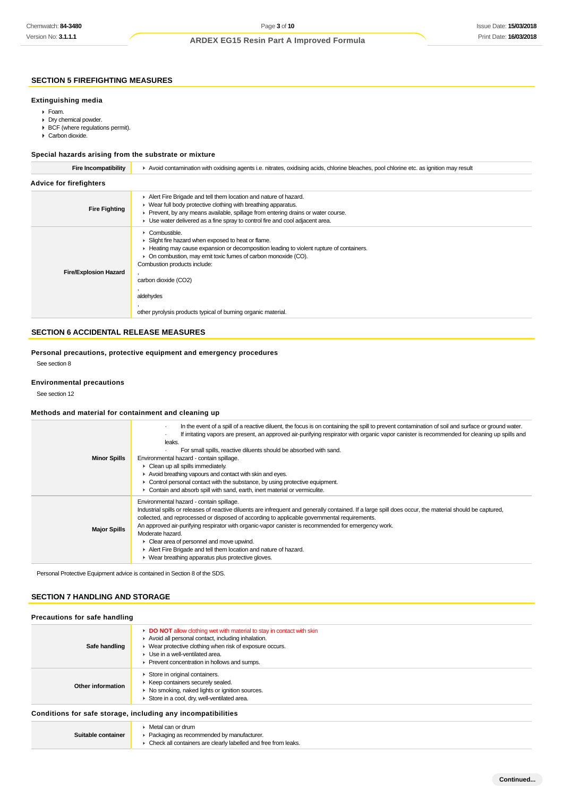### **SECTION 5 FIREFIGHTING MEASURES**

#### **Extinguishing media**

- Foam.
- Dry chemical powder. ▶ BCF (where regulations permit).
- Carbon dioxide.

#### **Special hazards arising from the substrate or mixture**

| Fire Incompatibility           | ▶ Avoid contamination with oxidising agents i.e. nitrates, oxidising acids, chlorine bleaches, pool chlorine etc. as ignition may result                                                                                                                                                                                                                                |
|--------------------------------|-------------------------------------------------------------------------------------------------------------------------------------------------------------------------------------------------------------------------------------------------------------------------------------------------------------------------------------------------------------------------|
| <b>Advice for firefighters</b> |                                                                                                                                                                                                                                                                                                                                                                         |
| <b>Fire Fighting</b>           | Alert Fire Brigade and tell them location and nature of hazard.<br>▶ Wear full body protective clothing with breathing apparatus.<br>► Prevent, by any means available, spillage from entering drains or water course.<br>► Use water delivered as a fine spray to control fire and cool adjacent area.                                                                 |
| <b>Fire/Explosion Hazard</b>   | • Combustible.<br>Slight fire hazard when exposed to heat or flame.<br>► Heating may cause expansion or decomposition leading to violent rupture of containers.<br>• On combustion, may emit toxic fumes of carbon monoxide (CO).<br>Combustion products include:<br>carbon dioxide (CO2)<br>aldehydes<br>other pyrolysis products typical of burning organic material. |

#### **SECTION 6 ACCIDENTAL RELEASE MEASURES**

#### **Personal precautions, protective equipment and emergency procedures**

See section 8

#### **Environmental precautions**

See section 12

### **Methods and material for containment and cleaning up**

| <b>Minor Spills</b> | In the event of a spill of a reactive diluent, the focus is on containing the spill to prevent contamination of soil and surface or ground water.<br>$\cdot$<br>If irritating vapors are present, an approved air-purifying respirator with organic vapor canister is recommended for cleaning up spills and<br>leaks.<br>For small spills, reactive diluents should be absorbed with sand.<br>Environmental hazard - contain spillage.<br>$\triangleright$ Clean up all spills immediately.<br>Avoid breathing vapours and contact with skin and eyes.<br>$\triangleright$ Control personal contact with the substance, by using protective equipment.<br>• Contain and absorb spill with sand, earth, inert material or vermiculite. |
|---------------------|----------------------------------------------------------------------------------------------------------------------------------------------------------------------------------------------------------------------------------------------------------------------------------------------------------------------------------------------------------------------------------------------------------------------------------------------------------------------------------------------------------------------------------------------------------------------------------------------------------------------------------------------------------------------------------------------------------------------------------------|
| <b>Major Spills</b> | Environmental hazard - contain spillage.<br>Industrial spills or releases of reactive diluents are infrequent and generally contained. If a large spill does occur, the material should be captured,<br>collected, and reprocessed or disposed of according to applicable governmental requirements.<br>An approved air-purifying respirator with organic-vapor canister is recommended for emergency work.<br>Moderate hazard.<br>$\triangleright$ Clear area of personnel and move upwind.<br>Alert Fire Brigade and tell them location and nature of hazard.<br>• Wear breathing apparatus plus protective gloves.                                                                                                                  |

Personal Protective Equipment advice is contained in Section 8 of the SDS.

## **SECTION 7 HANDLING AND STORAGE**

| Precautions for safe handling |                                                                                                                                                                                                                                                                                                |  |
|-------------------------------|------------------------------------------------------------------------------------------------------------------------------------------------------------------------------------------------------------------------------------------------------------------------------------------------|--|
| Safe handling                 | DO NOT allow clothing wet with material to stay in contact with skin<br>Avoid all personal contact, including inhalation.<br>• Wear protective clothing when risk of exposure occurs.<br>$\blacktriangleright$ Use in a well-ventilated area.<br>▶ Prevent concentration in hollows and sumps. |  |
| Other information             | Store in original containers.<br>▶ Keep containers securely sealed.<br>▶ No smoking, naked lights or ignition sources.<br>Store in a cool, dry, well-ventilated area.                                                                                                                          |  |

### **Conditions for safe storage, including any incompatibilities**

|                    | • Metal can or drum                                              |
|--------------------|------------------------------------------------------------------|
| Suitable container | ▶ Packaging as recommended by manufacturer.                      |
|                    | • Check all containers are clearly labelled and free from leaks. |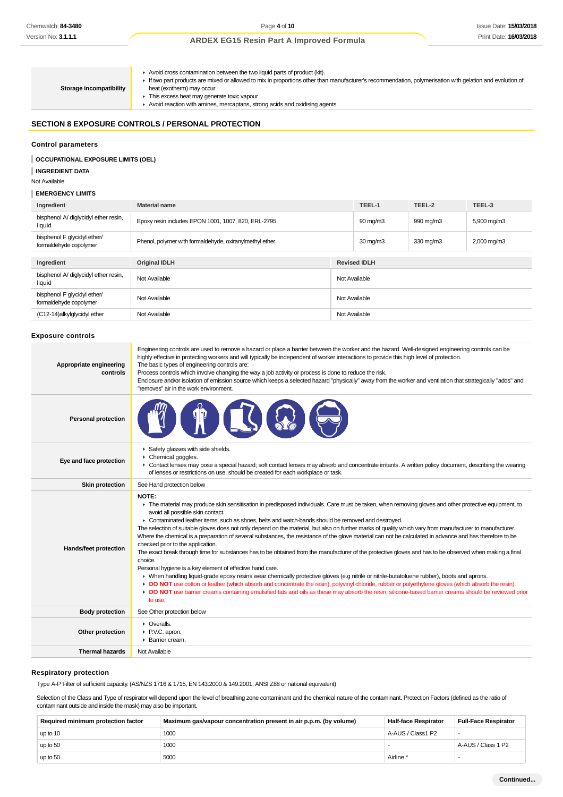### Issue Date: **15/03/2018** Print Date: **16/03/2018**

## **ARDEX EG15 Resin Part A Improved Formula**

| Avoid cross contamination between the two liquid parts of product (kit).<br>If two part products are mixed or allowed to mix in proportions other than manufacturer's recommendation, polymerisation with gelation and evolution of<br>Storage incompatibility<br>heat (exotherm) may occur.<br>This excess heat may generate toxic vapour<br>Avoid reaction with amines, mercaptans, strong acids and oxidising agents |  |
|-------------------------------------------------------------------------------------------------------------------------------------------------------------------------------------------------------------------------------------------------------------------------------------------------------------------------------------------------------------------------------------------------------------------------|--|
|-------------------------------------------------------------------------------------------------------------------------------------------------------------------------------------------------------------------------------------------------------------------------------------------------------------------------------------------------------------------------------------------------------------------------|--|

### **SECTION 8 EXPOSURE CONTROLS / PERSONAL PROTECTION**

#### **Control parameters**

### **OCCUPATIONAL EXPOSURE LIMITS (OEL)**

**INGREDIENT DATA**

Not Available

### **EMERGENCY LIMITS**

| Ingredient                                            | <b>Material name</b>                                    |               | TEEL-1              | TEEL-2    | TEEL-3      |
|-------------------------------------------------------|---------------------------------------------------------|---------------|---------------------|-----------|-------------|
| bisphenol A/ diglycidyl ether resin,<br>liquid        | Epoxy resin includes EPON 1001, 1007, 820, ERL-2795     |               | $90 \text{ mg/m}$   | 990 mg/m3 | 5,900 mg/m3 |
| bisphenol F glycidyl ether/<br>formaldehyde copolymer | Phenol, polymer with formaldehyde, oxiranylmethyl ether |               | $30 \text{ mg/m}$   | 330 mg/m3 | 2,000 mg/m3 |
|                                                       |                                                         |               |                     |           |             |
| Ingredient                                            | <b>Original IDLH</b>                                    |               | <b>Revised IDLH</b> |           |             |
| bisphenol A/ diglycidyl ether resin,<br>liquid        | Not Available                                           | Not Available |                     |           |             |
| bisphenol F glycidyl ether/<br>formaldehyde copolymer | Not Available                                           | Not Available |                     |           |             |
| (C12-14)alkylglycidyl ether                           | Not Available<br>Not Available                          |               |                     |           |             |

#### **Exposure controls**

| Appropriate engineering<br>controls | Engineering controls are used to remove a hazard or place a barrier between the worker and the hazard. Well-designed engineering controls can be<br>highly effective in protecting workers and will typically be independent of worker interactions to provide this high level of protection.<br>The basic types of engineering controls are:<br>Process controls which involve changing the way a job activity or process is done to reduce the risk.<br>Enclosure and/or isolation of emission source which keeps a selected hazard "physically" away from the worker and ventilation that strategically "adds" and<br>"removes" air in the work environment.                                                                                                                                                                                                                                                                                                                                                                                                                                                                                                                                                                                                                                                                                                                 |
|-------------------------------------|---------------------------------------------------------------------------------------------------------------------------------------------------------------------------------------------------------------------------------------------------------------------------------------------------------------------------------------------------------------------------------------------------------------------------------------------------------------------------------------------------------------------------------------------------------------------------------------------------------------------------------------------------------------------------------------------------------------------------------------------------------------------------------------------------------------------------------------------------------------------------------------------------------------------------------------------------------------------------------------------------------------------------------------------------------------------------------------------------------------------------------------------------------------------------------------------------------------------------------------------------------------------------------------------------------------------------------------------------------------------------------|
| <b>Personal protection</b>          |                                                                                                                                                                                                                                                                                                                                                                                                                                                                                                                                                                                                                                                                                                                                                                                                                                                                                                                                                                                                                                                                                                                                                                                                                                                                                                                                                                                 |
| Eye and face protection             | Safety glasses with side shields.<br>Chemical goggles.<br>• Contact lenses may pose a special hazard; soft contact lenses may absorb and concentrate irritants. A written policy document, describing the wearing<br>of lenses or restrictions on use, should be created for each workplace or task.                                                                                                                                                                                                                                                                                                                                                                                                                                                                                                                                                                                                                                                                                                                                                                                                                                                                                                                                                                                                                                                                            |
| <b>Skin protection</b>              | See Hand protection below                                                                                                                                                                                                                                                                                                                                                                                                                                                                                                                                                                                                                                                                                                                                                                                                                                                                                                                                                                                                                                                                                                                                                                                                                                                                                                                                                       |
| Hands/feet protection               | NOTE:<br>The material may produce skin sensitisation in predisposed individuals. Care must be taken, when removing gloves and other protective equipment, to<br>avoid all possible skin contact.<br>► Contaminated leather items, such as shoes, belts and watch-bands should be removed and destroyed.<br>The selection of suitable gloves does not only depend on the material, but also on further marks of quality which vary from manufacturer to manufacturer.<br>Where the chemical is a preparation of several substances, the resistance of the glove material can not be calculated in advance and has therefore to be<br>checked prior to the application.<br>The exact break through time for substances has to be obtained from the manufacturer of the protective gloves and has to be observed when making a final<br>choice.<br>Personal hygiene is a key element of effective hand care.<br>• When handling liquid-grade epoxy resins wear chemically protective gloves (e.g nitrile or nitrile-butatoluene rubber), boots and aprons.<br>DO NOT use cotton or leather (which absorb and concentrate the resin), polyvinyl chloride, rubber or polyethylene gloves (which absorb the resin).<br>DO NOT use barrier creams containing emulsified fats and oils as these may absorb the resin; silicone-based barrier creams should be reviewed prior<br>to use. |
| <b>Body protection</b>              | See Other protection below                                                                                                                                                                                                                                                                                                                                                                                                                                                                                                                                                                                                                                                                                                                                                                                                                                                                                                                                                                                                                                                                                                                                                                                                                                                                                                                                                      |
| Other protection                    | $\triangleright$ Overalls.<br>P.V.C. apron.<br>Barrier cream.                                                                                                                                                                                                                                                                                                                                                                                                                                                                                                                                                                                                                                                                                                                                                                                                                                                                                                                                                                                                                                                                                                                                                                                                                                                                                                                   |
| <b>Thermal hazards</b>              | Not Available                                                                                                                                                                                                                                                                                                                                                                                                                                                                                                                                                                                                                                                                                                                                                                                                                                                                                                                                                                                                                                                                                                                                                                                                                                                                                                                                                                   |

#### **Respiratory protection**

Type A-P Filter of sufficient capacity. (AS/NZS 1716 & 1715, EN 143:2000 & 149:2001, ANSI Z88 or national equivalent)

Selection of the Class and Type of respirator will depend upon the level of breathing zone contaminant and the chemical nature of the contaminant. Protection Factors (defined as the ratio of contaminant outside and inside the mask) may also be important.

| Required minimum protection factor | Maximum gas/vapour concentration present in air p.p.m. (by volume) | <b>Half-face Respirator</b> | <b>Full-Face Respirator</b> |
|------------------------------------|--------------------------------------------------------------------|-----------------------------|-----------------------------|
| up to 10                           | 1000                                                               | A-AUS / Class1 P2           |                             |
| up to 50                           | 1000                                                               |                             | A-AUS / Class 1 P2          |
| up to 50                           | 5000                                                               | Airline                     |                             |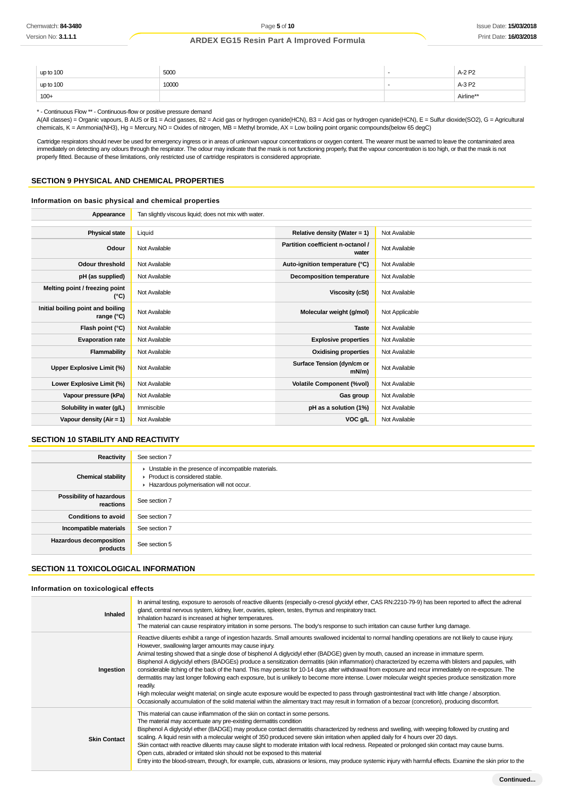| up to 100 | 5000  |   | A-2 P2<br>. |
|-----------|-------|---|-------------|
| up to 100 | 10000 | - | A-3 P2      |
| $100+$    |       |   | Airline**   |

\* - Continuous Flow \*\* - Continuous-flow or positive pressure demand

A(All classes) = Organic vapours, B AUS or B1 = Acid gasses, B2 = Acid gas or hydrogen cyanide(HCN), B3 = Acid gas or hydrogen cyanide(HCN), E = Sulfur dioxide(SO2), G = Agricultural chemicals, K = Ammonia(NH3), Hg = Mercury, NO = Oxides of nitrogen, MB = Methyl bromide, AX = Low boiling point organic compounds(below 65 degC)

Cartridge respirators should never be used for emergency ingress or in areas of unknown vapour concentrations or oxygen content. The wearer must be warned to leave the contaminated area immediately on detecting any odours through the respirator. The odour may indicate that the mask is not functioning properly, that the vapour concentration is too high, or that the mask is not properly fitted. Because of these limitations, only restricted use of cartridge respirators is considered appropriate.

### **SECTION 9 PHYSICAL AND CHEMICAL PROPERTIES**

#### **Information on basic physical and chemical properties**

| Appearance                                      | Tan slightly viscous liquid; does not mix with water. |                                            |                |
|-------------------------------------------------|-------------------------------------------------------|--------------------------------------------|----------------|
|                                                 |                                                       |                                            |                |
| <b>Physical state</b>                           | Liquid                                                | Relative density (Water = 1)               | Not Available  |
| Odour                                           | Not Available                                         | Partition coefficient n-octanol /<br>water | Not Available  |
| <b>Odour threshold</b>                          | Not Available                                         | Auto-ignition temperature (°C)             | Not Available  |
| pH (as supplied)                                | Not Available                                         | Decomposition temperature                  | Not Available  |
| Melting point / freezing point<br>(°C)          | Not Available                                         | Viscosity (cSt)                            | Not Available  |
| Initial boiling point and boiling<br>range (°C) | Not Available                                         | Molecular weight (g/mol)                   | Not Applicable |
| Flash point (°C)                                | Not Available                                         | <b>Taste</b>                               | Not Available  |
| <b>Evaporation rate</b>                         | Not Available                                         | <b>Explosive properties</b>                | Not Available  |
| Flammability                                    | Not Available                                         | <b>Oxidising properties</b>                | Not Available  |
| Upper Explosive Limit (%)                       | Not Available                                         | Surface Tension (dyn/cm or<br>$mN/m$ )     | Not Available  |
| Lower Explosive Limit (%)                       | Not Available                                         | <b>Volatile Component (%vol)</b>           | Not Available  |
| Vapour pressure (kPa)                           | Not Available                                         | Gas group                                  | Not Available  |
| Solubility in water (g/L)                       | Immiscible                                            | pH as a solution (1%)                      | Not Available  |
| Vapour density (Air = 1)                        | Not Available                                         | VOC g/L                                    | Not Available  |

## **SECTION 10 STABILITY AND REACTIVITY**

| Reactivity                            | See section 7                                                                                                                        |
|---------------------------------------|--------------------------------------------------------------------------------------------------------------------------------------|
| <b>Chemical stability</b>             | • Unstable in the presence of incompatible materials.<br>▶ Product is considered stable.<br>Hazardous polymerisation will not occur. |
| Possibility of hazardous<br>reactions | See section 7                                                                                                                        |
| <b>Conditions to avoid</b>            | See section 7                                                                                                                        |
| Incompatible materials                | See section 7                                                                                                                        |
| Hazardous decomposition<br>products   | See section 5                                                                                                                        |

### **SECTION 11 TOXICOLOGICAL INFORMATION**

#### **Information on toxicological effects**

| <b>Inhaled</b>      | In animal testing, exposure to aerosols of reactive diluents (especially o-cresol glycidyl ether, CAS RN:2210-79-9) has been reported to affect the adrenal<br>gland, central nervous system, kidney, liver, ovaries, spleen, testes, thymus and respiratory tract.<br>Inhalation hazard is increased at higher temperatures.<br>The material can cause respiratory irritation in some persons. The body's response to such irritation can cause further lung damage.                                                                                                                                                                                                                                                                                                                                                                                                                                                                                                                                                                                                                                                                                           |
|---------------------|-----------------------------------------------------------------------------------------------------------------------------------------------------------------------------------------------------------------------------------------------------------------------------------------------------------------------------------------------------------------------------------------------------------------------------------------------------------------------------------------------------------------------------------------------------------------------------------------------------------------------------------------------------------------------------------------------------------------------------------------------------------------------------------------------------------------------------------------------------------------------------------------------------------------------------------------------------------------------------------------------------------------------------------------------------------------------------------------------------------------------------------------------------------------|
| Ingestion           | Reactive diluents exhibit a range of ingestion hazards. Small amounts swallowed incidental to normal handling operations are not likely to cause injury.<br>However, swallowing larger amounts may cause injury.<br>Animal testing showed that a single dose of bisphenol A diglycidyl ether (BADGE) given by mouth, caused an increase in immature sperm.<br>Bisphenol A diglycidyl ethers (BADGEs) produce a sensitization dermatitis (skin inflammation) characterized by eczema with blisters and papules, with<br>considerable itching of the back of the hand. This may persist for 10-14 days after withdrawal from exposure and recur immediately on re-exposure. The<br>dermatitis may last longer following each exposure, but is unlikely to become more intense. Lower molecular weight species produce sensitization more<br>readily.<br>High molecular weight material; on single acute exposure would be expected to pass through gastrointestinal tract with little change / absorption.<br>Occasionally accumulation of the solid material within the alimentary tract may result in formation of a bezoar (concretion), producing discomfort. |
| <b>Skin Contact</b> | This material can cause inflammation of the skin on contact in some persons.<br>The material may accentuate any pre-existing dermatitis condition<br>Bisphenol A diglycidyl ether (BADGE) may produce contact dermatitis characterized by redness and swelling, with weeping followed by crusting and<br>scaling. A liquid resin with a molecular weight of 350 produced severe skin irritation when applied daily for 4 hours over 20 days.<br>Skin contact with reactive diluents may cause slight to moderate irritation with local redness. Repeated or prolonged skin contact may cause burns.<br>Open cuts, abraded or irritated skin should not be exposed to this material<br>Entry into the blood-stream, through, for example, cuts, abrasions or lesions, may produce systemic injury with harmful effects. Examine the skin prior to the                                                                                                                                                                                                                                                                                                            |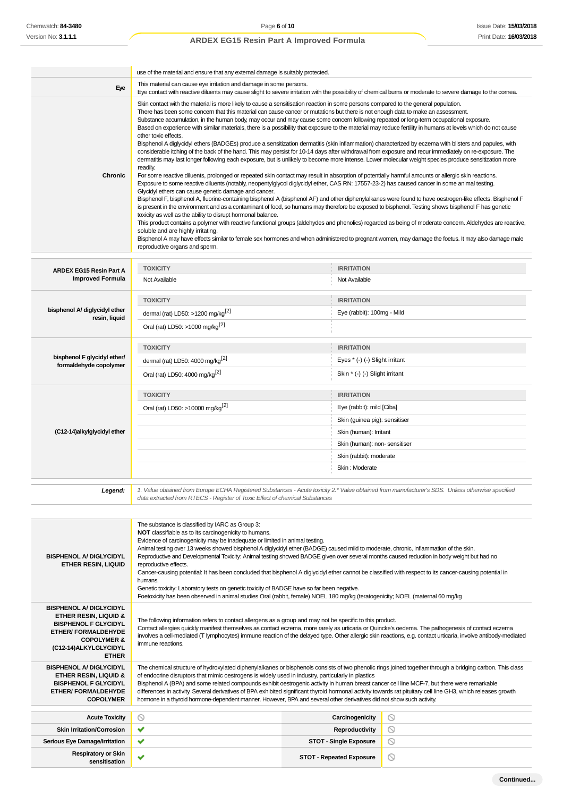|                                                                                                                                                                                   | use of the material and ensure that any external damage is suitably protected.                                                                                                                                                                                                                                                                                                                                                                                                                                                                                                                                                                                                                                                                                                                                                                                                                                                                                                                                                                                                                                                                                                                                                                                                                                                                                                                                                                                                                                                                                                                                                                                                                                                                                                                                                                                                                                                                                                                                                                                                                                                                                                                                                                |                                 |                |
|-----------------------------------------------------------------------------------------------------------------------------------------------------------------------------------|-----------------------------------------------------------------------------------------------------------------------------------------------------------------------------------------------------------------------------------------------------------------------------------------------------------------------------------------------------------------------------------------------------------------------------------------------------------------------------------------------------------------------------------------------------------------------------------------------------------------------------------------------------------------------------------------------------------------------------------------------------------------------------------------------------------------------------------------------------------------------------------------------------------------------------------------------------------------------------------------------------------------------------------------------------------------------------------------------------------------------------------------------------------------------------------------------------------------------------------------------------------------------------------------------------------------------------------------------------------------------------------------------------------------------------------------------------------------------------------------------------------------------------------------------------------------------------------------------------------------------------------------------------------------------------------------------------------------------------------------------------------------------------------------------------------------------------------------------------------------------------------------------------------------------------------------------------------------------------------------------------------------------------------------------------------------------------------------------------------------------------------------------------------------------------------------------------------------------------------------------|---------------------------------|----------------|
| Eye                                                                                                                                                                               | This material can cause eye irritation and damage in some persons.<br>Eye contact with reactive diluents may cause slight to severe irritation with the possibility of chemical burns or moderate to severe damage to the cornea.                                                                                                                                                                                                                                                                                                                                                                                                                                                                                                                                                                                                                                                                                                                                                                                                                                                                                                                                                                                                                                                                                                                                                                                                                                                                                                                                                                                                                                                                                                                                                                                                                                                                                                                                                                                                                                                                                                                                                                                                             |                                 |                |
| Chronic                                                                                                                                                                           | Skin contact with the material is more likely to cause a sensitisation reaction in some persons compared to the general population.<br>There has been some concern that this material can cause cancer or mutations but there is not enough data to make an assessment.<br>Substance accumulation, in the human body, may occur and may cause some concern following repeated or long-term occupational exposure.<br>Based on experience with similar materials, there is a possibility that exposure to the material may reduce fertility in humans at levels which do not cause<br>other toxic effects.<br>Bisphenol A diglycidyl ethers (BADGEs) produce a sensitization dermatitis (skin inflammation) characterized by eczema with blisters and papules, with<br>considerable itching of the back of the hand. This may persist for 10-14 days after withdrawal from exposure and recur immediately on re-exposure. The<br>dermatitis may last longer following each exposure, but is unlikely to become more intense. Lower molecular weight species produce sensitization more<br>readily.<br>For some reactive diluents, prolonged or repeated skin contact may result in absorption of potentially harmful amounts or allergic skin reactions.<br>Exposure to some reactive diluents (notably, neopentylglycol diglycidyl ether, CAS RN: 17557-23-2) has caused cancer in some animal testing.<br>Glycidyl ethers can cause genetic damage and cancer.<br>Bisphenol F, bisphenol A, fluorine-containing bisphenol A (bisphenol AF) and other diphenylalkanes were found to have oestrogen-like effects. Bisphenol F<br>is present in the environment and as a contaminant of food, so humans may therefore be exposed to bisphenol. Testing shows bisphenol F has genetic<br>toxicity as well as the ability to disrupt hormonal balance.<br>This product contains a polymer with reactive functional groups (aldehydes and phenolics) regarded as being of moderate concern. Aldehydes are reactive,<br>soluble and are highly irritating.<br>Bisphenol A may have effects similar to female sex hormones and when administered to pregnant women, may damage the foetus. It may also damage male<br>reproductive organs and sperm. |                                 |                |
|                                                                                                                                                                                   | <b>TOXICITY</b>                                                                                                                                                                                                                                                                                                                                                                                                                                                                                                                                                                                                                                                                                                                                                                                                                                                                                                                                                                                                                                                                                                                                                                                                                                                                                                                                                                                                                                                                                                                                                                                                                                                                                                                                                                                                                                                                                                                                                                                                                                                                                                                                                                                                                               | <b>IRRITATION</b>               |                |
| <b>ARDEX EG15 Resin Part A</b><br><b>Improved Formula</b>                                                                                                                         | Not Available                                                                                                                                                                                                                                                                                                                                                                                                                                                                                                                                                                                                                                                                                                                                                                                                                                                                                                                                                                                                                                                                                                                                                                                                                                                                                                                                                                                                                                                                                                                                                                                                                                                                                                                                                                                                                                                                                                                                                                                                                                                                                                                                                                                                                                 | Not Available                   |                |
|                                                                                                                                                                                   | <b>TOXICITY</b>                                                                                                                                                                                                                                                                                                                                                                                                                                                                                                                                                                                                                                                                                                                                                                                                                                                                                                                                                                                                                                                                                                                                                                                                                                                                                                                                                                                                                                                                                                                                                                                                                                                                                                                                                                                                                                                                                                                                                                                                                                                                                                                                                                                                                               | <b>IRRITATION</b>               |                |
| bisphenol A/ diglycidyl ether                                                                                                                                                     | dermal (rat) LD50: >1200 mg/kg <sup>[2]</sup>                                                                                                                                                                                                                                                                                                                                                                                                                                                                                                                                                                                                                                                                                                                                                                                                                                                                                                                                                                                                                                                                                                                                                                                                                                                                                                                                                                                                                                                                                                                                                                                                                                                                                                                                                                                                                                                                                                                                                                                                                                                                                                                                                                                                 | Eye (rabbit): 100mg - Mild      |                |
| resin, liquid                                                                                                                                                                     | Oral (rat) LD50: >1000 mg/kg <sup>[2]</sup>                                                                                                                                                                                                                                                                                                                                                                                                                                                                                                                                                                                                                                                                                                                                                                                                                                                                                                                                                                                                                                                                                                                                                                                                                                                                                                                                                                                                                                                                                                                                                                                                                                                                                                                                                                                                                                                                                                                                                                                                                                                                                                                                                                                                   |                                 |                |
|                                                                                                                                                                                   | <b>TOXICITY</b>                                                                                                                                                                                                                                                                                                                                                                                                                                                                                                                                                                                                                                                                                                                                                                                                                                                                                                                                                                                                                                                                                                                                                                                                                                                                                                                                                                                                                                                                                                                                                                                                                                                                                                                                                                                                                                                                                                                                                                                                                                                                                                                                                                                                                               | <b>IRRITATION</b>               |                |
| bisphenol F glycidyl ether/                                                                                                                                                       | dermal (rat) LD50: 4000 mg/kg <sup>[2]</sup>                                                                                                                                                                                                                                                                                                                                                                                                                                                                                                                                                                                                                                                                                                                                                                                                                                                                                                                                                                                                                                                                                                                                                                                                                                                                                                                                                                                                                                                                                                                                                                                                                                                                                                                                                                                                                                                                                                                                                                                                                                                                                                                                                                                                  | Eyes * (-) (-) Slight irritant  |                |
| formaldehyde copolymer                                                                                                                                                            | Oral (rat) LD50: 4000 mg/kg <sup>[2]</sup>                                                                                                                                                                                                                                                                                                                                                                                                                                                                                                                                                                                                                                                                                                                                                                                                                                                                                                                                                                                                                                                                                                                                                                                                                                                                                                                                                                                                                                                                                                                                                                                                                                                                                                                                                                                                                                                                                                                                                                                                                                                                                                                                                                                                    | Skin * (-) (-) Slight irritant  |                |
|                                                                                                                                                                                   |                                                                                                                                                                                                                                                                                                                                                                                                                                                                                                                                                                                                                                                                                                                                                                                                                                                                                                                                                                                                                                                                                                                                                                                                                                                                                                                                                                                                                                                                                                                                                                                                                                                                                                                                                                                                                                                                                                                                                                                                                                                                                                                                                                                                                                               |                                 |                |
|                                                                                                                                                                                   | <b>TOXICITY</b>                                                                                                                                                                                                                                                                                                                                                                                                                                                                                                                                                                                                                                                                                                                                                                                                                                                                                                                                                                                                                                                                                                                                                                                                                                                                                                                                                                                                                                                                                                                                                                                                                                                                                                                                                                                                                                                                                                                                                                                                                                                                                                                                                                                                                               | <b>IRRITATION</b>               |                |
|                                                                                                                                                                                   | Oral (rat) LD50: >10000 mg/kg <sup>[2]</sup>                                                                                                                                                                                                                                                                                                                                                                                                                                                                                                                                                                                                                                                                                                                                                                                                                                                                                                                                                                                                                                                                                                                                                                                                                                                                                                                                                                                                                                                                                                                                                                                                                                                                                                                                                                                                                                                                                                                                                                                                                                                                                                                                                                                                  | Eye (rabbit): mild [Ciba]       |                |
|                                                                                                                                                                                   |                                                                                                                                                                                                                                                                                                                                                                                                                                                                                                                                                                                                                                                                                                                                                                                                                                                                                                                                                                                                                                                                                                                                                                                                                                                                                                                                                                                                                                                                                                                                                                                                                                                                                                                                                                                                                                                                                                                                                                                                                                                                                                                                                                                                                                               | Skin (guinea pig): sensitiser   |                |
| (C12-14)alkylglycidyl ether                                                                                                                                                       |                                                                                                                                                                                                                                                                                                                                                                                                                                                                                                                                                                                                                                                                                                                                                                                                                                                                                                                                                                                                                                                                                                                                                                                                                                                                                                                                                                                                                                                                                                                                                                                                                                                                                                                                                                                                                                                                                                                                                                                                                                                                                                                                                                                                                                               | Skin (human): Irritant          |                |
|                                                                                                                                                                                   |                                                                                                                                                                                                                                                                                                                                                                                                                                                                                                                                                                                                                                                                                                                                                                                                                                                                                                                                                                                                                                                                                                                                                                                                                                                                                                                                                                                                                                                                                                                                                                                                                                                                                                                                                                                                                                                                                                                                                                                                                                                                                                                                                                                                                                               | Skin (human): non-sensitiser    |                |
|                                                                                                                                                                                   |                                                                                                                                                                                                                                                                                                                                                                                                                                                                                                                                                                                                                                                                                                                                                                                                                                                                                                                                                                                                                                                                                                                                                                                                                                                                                                                                                                                                                                                                                                                                                                                                                                                                                                                                                                                                                                                                                                                                                                                                                                                                                                                                                                                                                                               | Skin (rabbit): moderate         |                |
|                                                                                                                                                                                   |                                                                                                                                                                                                                                                                                                                                                                                                                                                                                                                                                                                                                                                                                                                                                                                                                                                                                                                                                                                                                                                                                                                                                                                                                                                                                                                                                                                                                                                                                                                                                                                                                                                                                                                                                                                                                                                                                                                                                                                                                                                                                                                                                                                                                                               | Skin: Moderate                  |                |
| Legend:                                                                                                                                                                           | 1. Value obtained from Europe ECHA Registered Substances - Acute toxicity 2.* Value obtained from manufacturer's SDS. Unless otherwise specified<br>data extracted from RTECS - Register of Toxic Effect of chemical Substances                                                                                                                                                                                                                                                                                                                                                                                                                                                                                                                                                                                                                                                                                                                                                                                                                                                                                                                                                                                                                                                                                                                                                                                                                                                                                                                                                                                                                                                                                                                                                                                                                                                                                                                                                                                                                                                                                                                                                                                                               |                                 |                |
|                                                                                                                                                                                   |                                                                                                                                                                                                                                                                                                                                                                                                                                                                                                                                                                                                                                                                                                                                                                                                                                                                                                                                                                                                                                                                                                                                                                                                                                                                                                                                                                                                                                                                                                                                                                                                                                                                                                                                                                                                                                                                                                                                                                                                                                                                                                                                                                                                                                               |                                 |                |
| <b>BISPHENOL A/ DIGLYCIDYL</b><br><b>ETHER RESIN, LIQUID</b>                                                                                                                      | The substance is classified by IARC as Group 3:<br>NOT classifiable as to its carcinogenicity to humans.<br>Evidence of carcinogenicity may be inadequate or limited in animal testing.<br>Animal testing over 13 weeks showed bisphenol A diglycidyl ether (BADGE) caused mild to moderate, chronic, inflammation of the skin.<br>Reproductive and Developmental Toxicity: Animal testing showed BADGE given over several months caused reduction in body weight but had no<br>reproductive effects.<br>Cancer-causing potential: It has been concluded that bisphenol A diglycidyl ether cannot be classified with respect to its cancer-causing potential in<br>humans.<br>Genetic toxicity: Laboratory tests on genetic toxicity of BADGE have so far been negative.<br>Foetoxicity has been observed in animal studies Oral (rabbit, female) NOEL 180 mg/kg (teratogenicity; NOEL (maternal 60 mg/kg)                                                                                                                                                                                                                                                                                                                                                                                                                                                                                                                                                                                                                                                                                                                                                                                                                                                                                                                                                                                                                                                                                                                                                                                                                                                                                                                                    |                                 |                |
| <b>BISPHENOL A/ DIGLYCIDYL</b><br>ETHER RESIN, LIQUID &<br><b>BISPHENOL F GLYCIDYL</b><br>ETHER/ FORMALDEHYDE<br><b>COPOLYMER &amp;</b><br>(C12-14) ALKYLGLYCIDYL<br><b>ETHER</b> | The following information refers to contact allergens as a group and may not be specific to this product.<br>Contact allergies quickly manifest themselves as contact eczema, more rarely as urticaria or Quincke's oedema. The pathogenesis of contact eczema<br>involves a cell-mediated (T lymphocytes) immune reaction of the delayed type. Other allergic skin reactions, e.g. contact urticaria, involve antibody-mediated<br>immune reactions.                                                                                                                                                                                                                                                                                                                                                                                                                                                                                                                                                                                                                                                                                                                                                                                                                                                                                                                                                                                                                                                                                                                                                                                                                                                                                                                                                                                                                                                                                                                                                                                                                                                                                                                                                                                         |                                 |                |
| <b>BISPHENOL A/ DIGLYCIDYL</b><br><b>ETHER RESIN, LIQUID &amp;</b><br><b>BISPHENOL F GLYCIDYL</b><br><b>ETHER/ FORMALDEHYDE</b><br><b>COPOLYMER</b>                               | The chemical structure of hydroxylated diphenylalkanes or bisphenols consists of two phenolic rings joined together through a bridging carbon. This class<br>of endocrine disruptors that mimic oestrogens is widely used in industry, particularly in plastics<br>Bisphenol A (BPA) and some related compounds exhibit oestrogenic activity in human breast cancer cell line MCF-7, but there were remarkable<br>differences in activity. Several derivatives of BPA exhibited significant thyroid hormonal activity towards rat pituitary cell line GH3, which releases growth<br>hormone in a thyroid hormone-dependent manner. However, BPA and several other derivatives did not show such activity.                                                                                                                                                                                                                                                                                                                                                                                                                                                                                                                                                                                                                                                                                                                                                                                                                                                                                                                                                                                                                                                                                                                                                                                                                                                                                                                                                                                                                                                                                                                                     |                                 |                |
| <b>Acute Toxicity</b>                                                                                                                                                             | $\circlearrowright$                                                                                                                                                                                                                                                                                                                                                                                                                                                                                                                                                                                                                                                                                                                                                                                                                                                                                                                                                                                                                                                                                                                                                                                                                                                                                                                                                                                                                                                                                                                                                                                                                                                                                                                                                                                                                                                                                                                                                                                                                                                                                                                                                                                                                           | Carcinogenicity                 | $\circledcirc$ |
| <b>Skin Irritation/Corrosion</b>                                                                                                                                                  | ✔                                                                                                                                                                                                                                                                                                                                                                                                                                                                                                                                                                                                                                                                                                                                                                                                                                                                                                                                                                                                                                                                                                                                                                                                                                                                                                                                                                                                                                                                                                                                                                                                                                                                                                                                                                                                                                                                                                                                                                                                                                                                                                                                                                                                                                             | Reproductivity                  | ◎              |
| Serious Eye Damage/Irritation                                                                                                                                                     | ✔                                                                                                                                                                                                                                                                                                                                                                                                                                                                                                                                                                                                                                                                                                                                                                                                                                                                                                                                                                                                                                                                                                                                                                                                                                                                                                                                                                                                                                                                                                                                                                                                                                                                                                                                                                                                                                                                                                                                                                                                                                                                                                                                                                                                                                             | <b>STOT - Single Exposure</b>   | $\circledcirc$ |
| <b>Respiratory or Skin</b>                                                                                                                                                        |                                                                                                                                                                                                                                                                                                                                                                                                                                                                                                                                                                                                                                                                                                                                                                                                                                                                                                                                                                                                                                                                                                                                                                                                                                                                                                                                                                                                                                                                                                                                                                                                                                                                                                                                                                                                                                                                                                                                                                                                                                                                                                                                                                                                                                               |                                 |                |
| sensitisation                                                                                                                                                                     | ✔                                                                                                                                                                                                                                                                                                                                                                                                                                                                                                                                                                                                                                                                                                                                                                                                                                                                                                                                                                                                                                                                                                                                                                                                                                                                                                                                                                                                                                                                                                                                                                                                                                                                                                                                                                                                                                                                                                                                                                                                                                                                                                                                                                                                                                             | <b>STOT - Repeated Exposure</b> | 0              |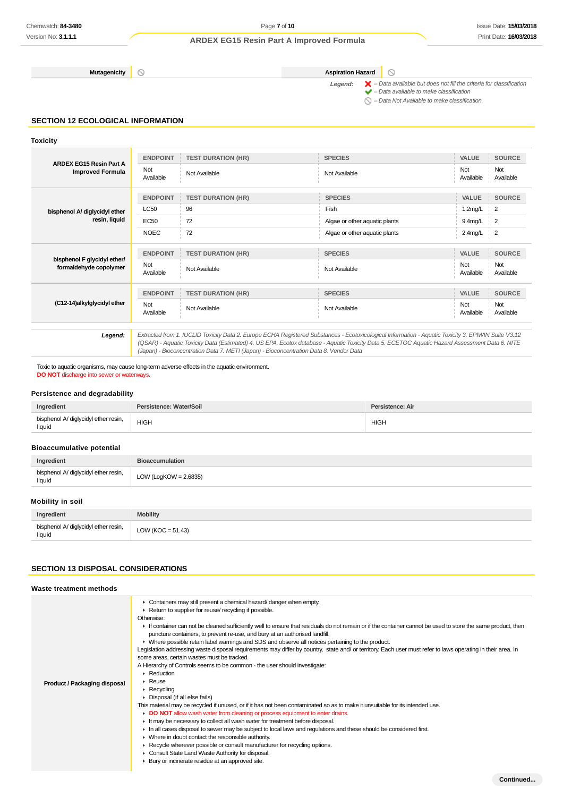**Continued...**

## **ARDEX EG15 Resin Part A Improved Formula**

**Mutagenicity Aspiration Hazard**

 $\overline{\phantom{a}}$ 

Legend:  $\mathsf{X}$  – Data available but does not fill the criteria for classification<br>  $\mathsf{Y}$  – Data available to make classification

 $\bigcirc$  – Data Not Available to make classification

## **SECTION 12 ECOLOGICAL INFORMATION**

**Toxicity**

|                                                           | <b>ENDPOINT</b>  | <b>TEST DURATION (HR)</b>                                                                                                                           | <b>SPECIES</b>                | <b>VALUE</b>     | <b>SOURCE</b>           |
|-----------------------------------------------------------|------------------|-----------------------------------------------------------------------------------------------------------------------------------------------------|-------------------------------|------------------|-------------------------|
| <b>ARDEX EG15 Resin Part A</b><br><b>Improved Formula</b> | Not<br>Available | Not Available                                                                                                                                       | Not Available                 | Not<br>Available | Not<br>Available        |
|                                                           | <b>ENDPOINT</b>  | <b>TEST DURATION (HR)</b>                                                                                                                           | <b>SPECIES</b>                | VALUE            | <b>SOURCE</b>           |
| bisphenol A/ diglycidyl ether                             | <b>LC50</b>      | 96                                                                                                                                                  | Fish                          | 1.2mg/L          | $\overline{2}$          |
| resin, liquid                                             | EC50             | 72                                                                                                                                                  | Algae or other aquatic plants | 9.4mg/L          | 2                       |
|                                                           | <b>NOEC</b>      | 72                                                                                                                                                  | Algae or other aquatic plants | $2.4$ mg/L       | 2                       |
|                                                           | <b>ENDPOINT</b>  | <b>TEST DURATION (HR)</b>                                                                                                                           | <b>SPECIES</b>                | VALUE            | <b>SOURCE</b>           |
| bisphenol F glycidyl ether/<br>formaldehyde copolymer     | Not<br>Available | Not Available                                                                                                                                       | Not Available                 | Not<br>Available | <b>Not</b><br>Available |
|                                                           | <b>ENDPOINT</b>  | <b>TEST DURATION (HR)</b>                                                                                                                           | <b>SPECIES</b>                | VALUE            | <b>SOURCE</b>           |
| (C12-14)alkylglycidyl ether                               | Not<br>Available | Not Available                                                                                                                                       | Not Available                 | Not<br>Available | Not<br>Available        |
| Legend:                                                   |                  | Extracted from 1. IUCLID Toxicity Data 2. Europe ECHA Registered Substances - Ecotoxicological Information - Aquatic Toxicity 3. EPIWIN Suite V3.12 |                               |                  |                         |

Toxic to aquatic organisms, may cause long-term adverse effects in the aquatic environment. **DO NOT** discharge into sewer or waterways.

#### **Persistence and degradability**

| Ingredient                                     | Persistence: Water/Soil | Persistence: Air |
|------------------------------------------------|-------------------------|------------------|
| bisphenol A/ diglycidyl ether resin,<br>liquid | <b>HIGH</b>             | <b>HIGH</b>      |

(Japan) - Bioconcentration Data 7. METI (Japan) - Bioconcentration Data 8. Vendor Data

(QSAR) - Aquatic Toxicity Data (Estimated) 4. US EPA, Ecotox database - Aquatic Toxicity Data 5. ECETOC Aquatic Hazard Assessment Data 6. NITE

#### **Bioaccumulative potential**

| Ingredient                                     | <b>Bioaccumulation</b>   |
|------------------------------------------------|--------------------------|
| bisphenol A/ diglycidyl ether resin,<br>liquid | LOW (LogKOW = $2.6835$ ) |

### **Mobility in soil**

| Ingredient                                     | <b>Mobility</b>       |
|------------------------------------------------|-----------------------|
| bisphenol A/ diglycidyl ether resin,<br>liquid | LOW ( $KOC = 51.43$ ) |

#### **SECTION 13 DISPOSAL CONSIDERATIONS**

| Waste treatment methods      |                                                                                                                                                                                                                                                                                                                                                                                                                                                                                                                                                                                                                                                                                                                                                                                                                                                                                                                                                                                                                                                                                                                                                                                                                                                                                                                                                                                                                                                                                                                                                                                      |
|------------------------------|--------------------------------------------------------------------------------------------------------------------------------------------------------------------------------------------------------------------------------------------------------------------------------------------------------------------------------------------------------------------------------------------------------------------------------------------------------------------------------------------------------------------------------------------------------------------------------------------------------------------------------------------------------------------------------------------------------------------------------------------------------------------------------------------------------------------------------------------------------------------------------------------------------------------------------------------------------------------------------------------------------------------------------------------------------------------------------------------------------------------------------------------------------------------------------------------------------------------------------------------------------------------------------------------------------------------------------------------------------------------------------------------------------------------------------------------------------------------------------------------------------------------------------------------------------------------------------------|
| Product / Packaging disposal | • Containers may still present a chemical hazard/ danger when empty.<br>Return to supplier for reuse/ recycling if possible.<br>Otherwise:<br>If container can not be cleaned sufficiently well to ensure that residuals do not remain or if the container cannot be used to store the same product, then<br>puncture containers, to prevent re-use, and bury at an authorised landfill.<br>• Where possible retain label warnings and SDS and observe all notices pertaining to the product.<br>Legislation addressing waste disposal requirements may differ by country, state and/ or territory. Each user must refer to laws operating in their area. In<br>some areas, certain wastes must be tracked.<br>A Hierarchy of Controls seems to be common - the user should investigate:<br>$\triangleright$ Reduction<br>$\triangleright$ Reuse<br>$\triangleright$ Recycling<br>Disposal (if all else fails)<br>This material may be recycled if unused, or if it has not been contaminated so as to make it unsuitable for its intended use.<br>DO NOT allow wash water from cleaning or process equipment to enter drains.<br>If It may be necessary to collect all wash water for treatment before disposal.<br>In all cases disposal to sewer may be subject to local laws and regulations and these should be considered first.<br>• Where in doubt contact the responsible authority.<br>► Recycle wherever possible or consult manufacturer for recycling options.<br>Consult State Land Waste Authority for disposal.<br>▶ Bury or incinerate residue at an approved site. |
|                              |                                                                                                                                                                                                                                                                                                                                                                                                                                                                                                                                                                                                                                                                                                                                                                                                                                                                                                                                                                                                                                                                                                                                                                                                                                                                                                                                                                                                                                                                                                                                                                                      |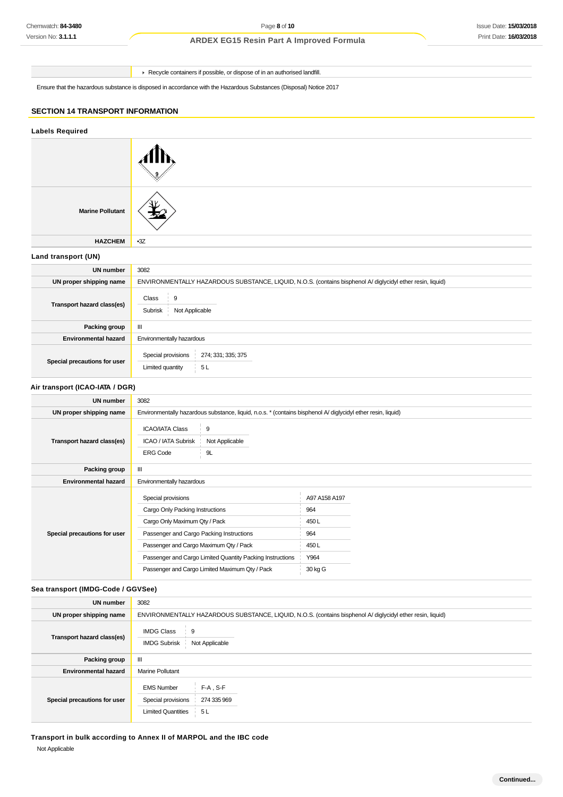Recycle containers if possible, or dispose of in an authorised landfill.

Ensure that the hazardous substance is disposed in accordance with the Hazardous Substances (Disposal) Notice 2017

## **SECTION 14 TRANSPORT INFORMATION**

| <b>Labels Required</b>             |                                                                                                              |                              |
|------------------------------------|--------------------------------------------------------------------------------------------------------------|------------------------------|
|                                    |                                                                                                              |                              |
| <b>Marine Pollutant</b>            |                                                                                                              |                              |
| <b>HAZCHEM</b>                     | $-3Z$                                                                                                        |                              |
| Land transport (UN)                |                                                                                                              |                              |
| <b>UN number</b>                   | 3082                                                                                                         |                              |
| UN proper shipping name            | ENVIRONMENTALLY HAZARDOUS SUBSTANCE, LIQUID, N.O.S. (contains bisphenol A/ diglycidyl ether resin, liquid)   |                              |
| Transport hazard class(es)         | 9<br>Class<br>Subrisk<br>Not Applicable                                                                      |                              |
| Packing group                      | Ш                                                                                                            |                              |
| <b>Environmental hazard</b>        | Environmentally hazardous                                                                                    |                              |
| Special precautions for user       | Special provisions<br>274; 331; 335; 375<br>5L<br>Limited quantity                                           |                              |
| Air transport (ICAO-IATA / DGR)    |                                                                                                              |                              |
| <b>UN number</b>                   | 3082                                                                                                         |                              |
| UN proper shipping name            | Environmentally hazardous substance, liquid, n.o.s. * (contains bisphenol A/ diglycidyl ether resin, liquid) |                              |
| Transport hazard class(es)         | $\boldsymbol{9}$<br><b>ICAO/IATA Class</b><br>ICAO / IATA Subrisk<br>Not Applicable<br><b>ERG Code</b><br>9L |                              |
| Packing group                      | Ш                                                                                                            |                              |
| <b>Environmental hazard</b>        | Environmentally hazardous                                                                                    |                              |
|                                    | Special provisions<br>Cargo Only Packing Instructions<br>Cargo Only Maximum Qty / Pack                       | A97 A158 A197<br>964<br>450L |
| Special precautions for user       | Passenger and Cargo Packing Instructions                                                                     | 964                          |
|                                    | Passenger and Cargo Maximum Qty / Pack                                                                       | 450L                         |
|                                    | Passenger and Cargo Limited Quantity Packing Instructions                                                    | Y964                         |
|                                    | Passenger and Cargo Limited Maximum Qty / Pack                                                               | 30 kg G                      |
| Sea transport (IMDG-Code / GGVSee) |                                                                                                              |                              |
| $111$ mumber $2000$                |                                                                                                              |                              |

| UN number                    | 3082                                                                                                       |
|------------------------------|------------------------------------------------------------------------------------------------------------|
| UN proper shipping name      | ENVIRONMENTALLY HAZARDOUS SUBSTANCE, LIQUID, N.O.S. (contains bisphenol A/ diglycidyl ether resin, liquid) |
| Transport hazard class(es)   | <b>IMDG Class</b><br>9<br>Not Applicable<br><b>IMDG Subrisk</b>                                            |
| Packing group                | III                                                                                                        |
| <b>Environmental hazard</b>  | Marine Pollutant                                                                                           |
| Special precautions for user | $F-A$ , S-F<br><b>EMS Number</b><br>Special provisions<br>274 335 969<br><b>Limited Quantities</b><br>5 L  |

**Transport in bulk according to Annex II of MARPOL and the IBC code**

Not Applicable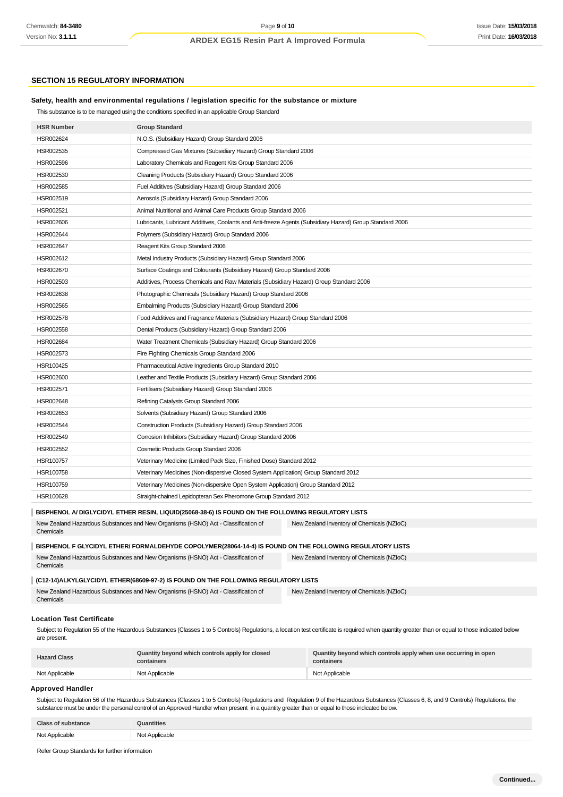### **SECTION 15 REGULATORY INFORMATION**

#### **Safety, health and environmental regulations / legislation specific for the substance or mixture**

This substance is to be managed using the conditions specified in an applicable Group Standard

| <b>HSR Number</b>                                                                  | <b>Group Standard</b>                                                                                                           |  |
|------------------------------------------------------------------------------------|---------------------------------------------------------------------------------------------------------------------------------|--|
| HSR002624                                                                          | N.O.S. (Subsidiary Hazard) Group Standard 2006                                                                                  |  |
| HSR002535                                                                          | Compressed Gas Mixtures (Subsidiary Hazard) Group Standard 2006                                                                 |  |
| HSR002596                                                                          | Laboratory Chemicals and Reagent Kits Group Standard 2006                                                                       |  |
| HSR002530                                                                          | Cleaning Products (Subsidiary Hazard) Group Standard 2006                                                                       |  |
| HSR002585                                                                          | Fuel Additives (Subsidiary Hazard) Group Standard 2006                                                                          |  |
| HSR002519                                                                          | Aerosols (Subsidiary Hazard) Group Standard 2006                                                                                |  |
| HSR002521                                                                          | Animal Nutritional and Animal Care Products Group Standard 2006                                                                 |  |
| HSR002606                                                                          |                                                                                                                                 |  |
| HSR002644                                                                          | Lubricants, Lubricant Additives, Coolants and Anti-freeze Agents (Subsidiary Hazard) Group Standard 2006                        |  |
| HSR002647                                                                          | Polymers (Subsidiary Hazard) Group Standard 2006                                                                                |  |
|                                                                                    | Reagent Kits Group Standard 2006                                                                                                |  |
| HSR002612                                                                          | Metal Industry Products (Subsidiary Hazard) Group Standard 2006                                                                 |  |
| HSR002670                                                                          | Surface Coatings and Colourants (Subsidiary Hazard) Group Standard 2006                                                         |  |
| HSR002503                                                                          | Additives, Process Chemicals and Raw Materials (Subsidiary Hazard) Group Standard 2006                                          |  |
| HSR002638                                                                          | Photographic Chemicals (Subsidiary Hazard) Group Standard 2006                                                                  |  |
| HSR002565                                                                          | Embalming Products (Subsidiary Hazard) Group Standard 2006                                                                      |  |
| HSR002578                                                                          | Food Additives and Fragrance Materials (Subsidiary Hazard) Group Standard 2006                                                  |  |
| HSR002558                                                                          | Dental Products (Subsidiary Hazard) Group Standard 2006                                                                         |  |
| HSR002684                                                                          | Water Treatment Chemicals (Subsidiary Hazard) Group Standard 2006                                                               |  |
| HSR002573                                                                          | Fire Fighting Chemicals Group Standard 2006                                                                                     |  |
| HSR100425                                                                          | Pharmaceutical Active Ingredients Group Standard 2010                                                                           |  |
| HSR002600                                                                          | Leather and Textile Products (Subsidiary Hazard) Group Standard 2006                                                            |  |
| HSR002571                                                                          | Fertilisers (Subsidiary Hazard) Group Standard 2006                                                                             |  |
| HSR002648                                                                          | Refining Catalysts Group Standard 2006                                                                                          |  |
| HSR002653                                                                          | Solvents (Subsidiary Hazard) Group Standard 2006                                                                                |  |
| HSR002544                                                                          | Construction Products (Subsidiary Hazard) Group Standard 2006                                                                   |  |
| HSR002549                                                                          | Corrosion Inhibitors (Subsidiary Hazard) Group Standard 2006                                                                    |  |
| HSR002552                                                                          | Cosmetic Products Group Standard 2006                                                                                           |  |
| <b>HSR100757</b>                                                                   | Veterinary Medicine (Limited Pack Size, Finished Dose) Standard 2012                                                            |  |
| HSR100758                                                                          | Veterinary Medicines (Non-dispersive Closed System Application) Group Standard 2012                                             |  |
| HSR100759                                                                          | Veterinary Medicines (Non-dispersive Open System Application) Group Standard 2012                                               |  |
| HSR100628                                                                          | Straight-chained Lepidopteran Sex Pheromone Group Standard 2012                                                                 |  |
|                                                                                    | BISPHENOL A/ DIGLYCIDYL ETHER RESIN, LIQUID(25068-38-6) IS FOUND ON THE FOLLOWING REGULATORY LISTS                              |  |
|                                                                                    | New Zealand Hazardous Substances and New Organisms (HSNO) Act - Classification of<br>New Zealand Inventory of Chemicals (NZIoC) |  |
| Chemicals                                                                          |                                                                                                                                 |  |
|                                                                                    | BISPHENOL F GLYCIDYL ETHER/ FORMALDEHYDE COPOLYMER(28064-14-4) IS FOUND ON THE FOLLOWING REGULATORY LISTS                       |  |
|                                                                                    | New Zealand Hazardous Substances and New Organisms (HSNO) Act - Classification of<br>New Zealand Inventory of Chemicals (NZIoC) |  |
| Chemicals                                                                          |                                                                                                                                 |  |
| (C12-14)ALKYLGLYCIDYL ETHER(68609-97-2) IS FOUND ON THE FOLLOWING REGULATORY LISTS |                                                                                                                                 |  |
|                                                                                    | New Zealand Hazardous Substances and New Organisms (HSNO) Act - Classification of<br>New Zealand Inventory of Chemicals (NZIoC) |  |
| Chemicals                                                                          |                                                                                                                                 |  |
| <b>Location Test Certificate</b>                                                   |                                                                                                                                 |  |
|                                                                                    |                                                                                                                                 |  |

Subject to Regulation 55 of the Hazardous Substances (Classes 1 to 5 Controls) Regulations, a location test certificate is required when quantity greater than or equal to those indicated below are present.

| <b>Hazard Class</b> | Quantity beyond which controls apply for closed<br>containers | Quantity beyond which controls apply when use occurring in open<br>containers |
|---------------------|---------------------------------------------------------------|-------------------------------------------------------------------------------|
| Not Applicable      | Not Applicable                                                | Not Applicable                                                                |

### **Approved Handler**

Subject to Regulation 56 of the Hazardous Substances (Classes 1 to 5 Controls) Regulations and Regulation 9 of the Hazardous Substances (Classes 6, 8, and 9 Controls) Regulations, the substance must be under the personal control of an Approved Handler when present in a quantity greater than or equal to those indicated below.

| $P _{\text{max}}$<br>ance |                    |
|---------------------------|--------------------|
| Not Applicable            | Applicable<br>ורו∧ |

Refer Group Standards for further information